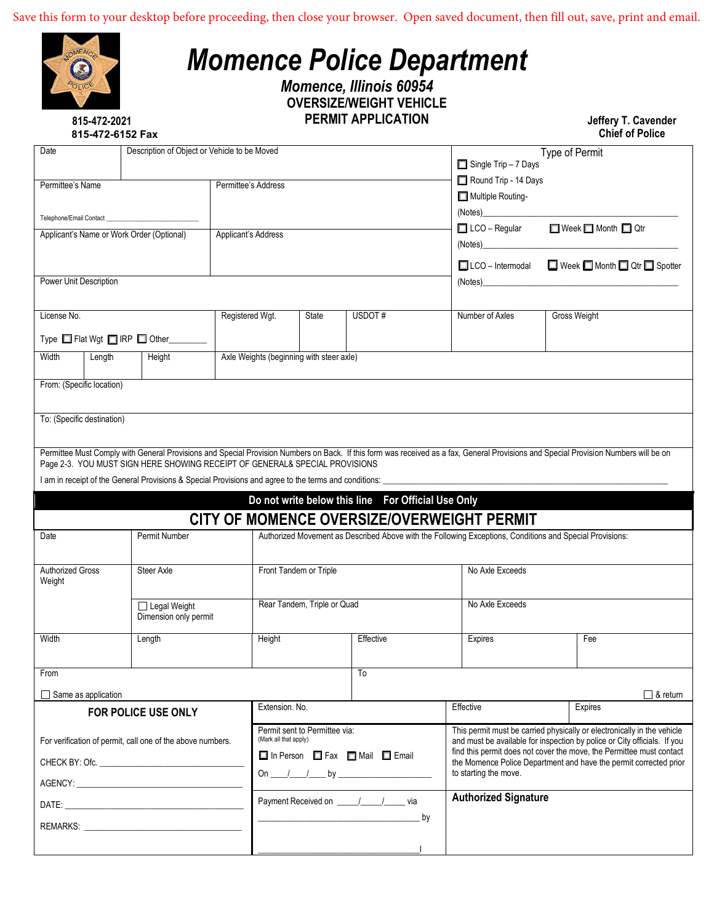| 815-472-2021                                                                                                           |                                                                                                                |                                                                             |                               | <b>Momence, Illinois 60954</b><br><b>OVERSIZE/WEIGHT VEHICLE</b><br><b>PERMIT APPLICATION</b>                                                                        |                                                                                                          | Jeffery T. Cavender                                                                                                                                                                  |
|------------------------------------------------------------------------------------------------------------------------|----------------------------------------------------------------------------------------------------------------|-----------------------------------------------------------------------------|-------------------------------|----------------------------------------------------------------------------------------------------------------------------------------------------------------------|----------------------------------------------------------------------------------------------------------|--------------------------------------------------------------------------------------------------------------------------------------------------------------------------------------|
| 815-472-6152 Fax                                                                                                       |                                                                                                                |                                                                             |                               |                                                                                                                                                                      |                                                                                                          | <b>Chief of Police</b>                                                                                                                                                               |
| Date                                                                                                                   |                                                                                                                | Description of Object or Vehicle to be Moved                                |                               |                                                                                                                                                                      | Single Trip - 7 Days                                                                                     | Type of Permit                                                                                                                                                                       |
| Permittee's Name                                                                                                       |                                                                                                                | Permittee's Address                                                         |                               |                                                                                                                                                                      | Round Trip - 14 Days                                                                                     |                                                                                                                                                                                      |
|                                                                                                                        |                                                                                                                |                                                                             |                               |                                                                                                                                                                      | Multiple Routing-                                                                                        |                                                                                                                                                                                      |
| Telephone/Email Contact                                                                                                |                                                                                                                |                                                                             |                               |                                                                                                                                                                      |                                                                                                          |                                                                                                                                                                                      |
| Applicant's Name or Work Order (Optional)                                                                              |                                                                                                                | Applicant's Address                                                         |                               |                                                                                                                                                                      |                                                                                                          | □ LCO - Regular □ Week □ Month □ Qtr                                                                                                                                                 |
|                                                                                                                        |                                                                                                                |                                                                             |                               |                                                                                                                                                                      |                                                                                                          | □ LCO - Intermodal □ Week □ Month □ Qtr □ Spotter                                                                                                                                    |
| Power Unit Description                                                                                                 |                                                                                                                |                                                                             |                               |                                                                                                                                                                      |                                                                                                          | (Notes)                                                                                                                                                                              |
|                                                                                                                        |                                                                                                                |                                                                             |                               |                                                                                                                                                                      |                                                                                                          |                                                                                                                                                                                      |
| License No.                                                                                                            |                                                                                                                | Registered Wgt.                                                             | State                         | USDOT#                                                                                                                                                               | Number of Axles                                                                                          | Gross Weight                                                                                                                                                                         |
|                                                                                                                        | Type ■ Flat Wgt ■ IRP ■ Other_______                                                                           |                                                                             |                               |                                                                                                                                                                      |                                                                                                          |                                                                                                                                                                                      |
| Width<br>Length                                                                                                        | Height                                                                                                         | Axle Weights (beginning with steer axle)                                    |                               |                                                                                                                                                                      |                                                                                                          |                                                                                                                                                                                      |
|                                                                                                                        |                                                                                                                | Page 2-3. YOU MUST SIGN HERE SHOWING RECEIPT OF GENERAL& SPECIAL PROVISIONS |                               |                                                                                                                                                                      |                                                                                                          | Permittee Must Comply with General Provisions and Special Provision Numbers on Back. If this form was received as a fax, General Provisions and Special Provision Numbers will be on |
|                                                                                                                        |                                                                                                                |                                                                             |                               | I am in receipt of the General Provisions & Special Provisions and agree to the terms and conditions: ________<br>Do not write below this line For Official Use Only |                                                                                                          |                                                                                                                                                                                      |
|                                                                                                                        |                                                                                                                |                                                                             |                               |                                                                                                                                                                      | CITY OF MOMENCE OVERSIZE/OVERWEIGHT PERMIT                                                               |                                                                                                                                                                                      |
|                                                                                                                        | Permit Number                                                                                                  |                                                                             |                               |                                                                                                                                                                      | Authorized Movement as Described Above with the Following Exceptions, Conditions and Special Provisions: |                                                                                                                                                                                      |
|                                                                                                                        | Steer Axle                                                                                                     |                                                                             | Front Tandem or Triple        |                                                                                                                                                                      | No Axle Exceeds                                                                                          |                                                                                                                                                                                      |
|                                                                                                                        | $\Box$ Legal Weight<br>Dimension only permit                                                                   |                                                                             | Rear Tandem, Triple or Quad   |                                                                                                                                                                      | No Axle Exceeds                                                                                          |                                                                                                                                                                                      |
|                                                                                                                        | Length                                                                                                         | Height                                                                      |                               | Effective                                                                                                                                                            | Expires                                                                                                  | Fee                                                                                                                                                                                  |
|                                                                                                                        |                                                                                                                |                                                                             |                               | To                                                                                                                                                                   |                                                                                                          |                                                                                                                                                                                      |
|                                                                                                                        |                                                                                                                |                                                                             |                               |                                                                                                                                                                      |                                                                                                          | $\Box$ & return                                                                                                                                                                      |
|                                                                                                                        | FOR POLICE USE ONLY                                                                                            | Extension. No.                                                              |                               |                                                                                                                                                                      | Effective                                                                                                | Expires                                                                                                                                                                              |
|                                                                                                                        | For verification of permit, call one of the above numbers.                                                     | (Mark all that apply)                                                       | Permit sent to Permittee via: |                                                                                                                                                                      |                                                                                                          | This permit must be carried physically or electronically in the vehicle<br>and must be available for inspection by police or City officials. If you                                  |
|                                                                                                                        |                                                                                                                |                                                                             |                               | □ In Person □ Fax □ Mail □ Email                                                                                                                                     |                                                                                                          |                                                                                                                                                                                      |
|                                                                                                                        |                                                                                                                |                                                                             |                               |                                                                                                                                                                      | to starting the move.                                                                                    | find this permit does not cover the move, the Permittee must contact<br>the Momence Police Department and have the permit corrected prior                                            |
| To: (Specific destination)<br>Date<br><b>Authorized Gross</b><br>Weight<br>Width<br>From<br>$\Box$ Same as application | AGENCY: ACCOUNTING AND ACCOUNTING AND ACCOUNTING AND ACCOUNTING AND ACCOUNTING AND ACCOUNTING AND ACCOUNTING A |                                                                             |                               |                                                                                                                                                                      |                                                                                                          |                                                                                                                                                                                      |
|                                                                                                                        |                                                                                                                |                                                                             |                               | by<br><u> 1989 - Jan James James James James James James James James James James James James James James James James J</u>                                           | <b>Authorized Signature</b>                                                                              |                                                                                                                                                                                      |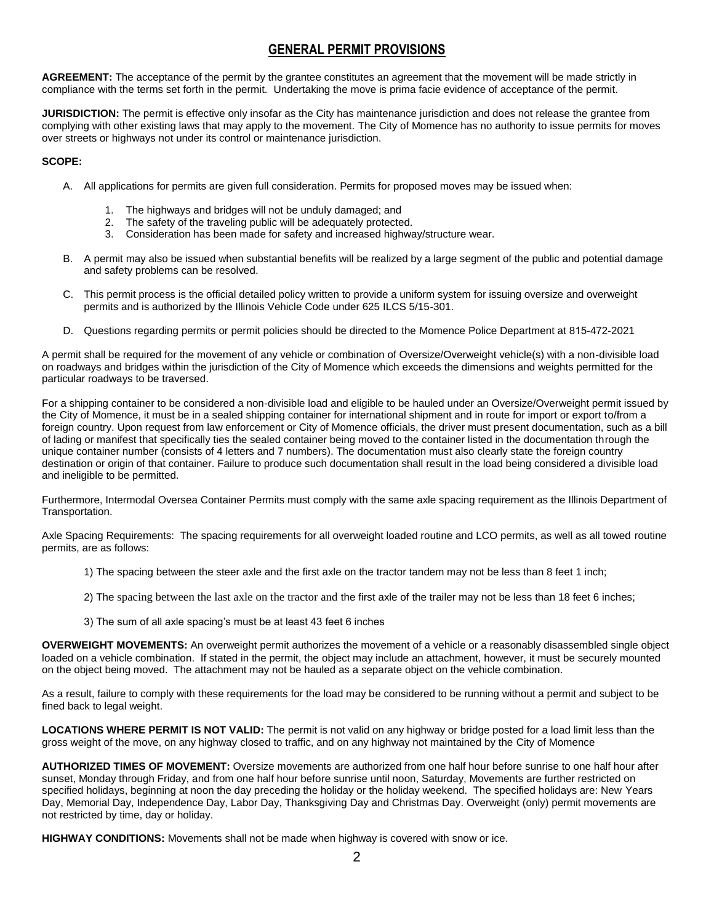# **GENERAL PERMIT PROVISIONS**

**AGREEMENT:** The acceptance of the permit by the grantee constitutes an agreement that the movement will be made strictly in compliance with the terms set forth in the permit. Undertaking the move is prima facie evidence of acceptance of the permit.

**JURISDICTION:** The permit is effective only insofar as the City has maintenance jurisdiction and does not release the grantee from complying with other existing laws that may apply to the movement. The City of Momence has no authority to issue permits for moves over streets or highways not under its control or maintenance jurisdiction.

#### **SCOPE:**

- A. All applications for permits are given full consideration. Permits for proposed moves may be issued when:
	- 1. The highways and bridges will not be unduly damaged; and<br>2. The safety of the traveling public will be adequately protecte
	- The safety of the traveling public will be adequately protected.
	- 3. Consideration has been made for safety and increased highway/structure wear.
- B. A permit may also be issued when substantial benefits will be realized by a large segment of the public and potential damage and safety problems can be resolved.
- C. This permit process is the official detailed policy written to provide a uniform system for issuing oversize and overweight permits and is authorized by the Illinois Vehicle Code under 625 ILCS 5/15-301.
- D. Questions regarding permits or permit policies should be directed to the Momence Police Department at 815-472-2021

A permit shall be required for the movement of any vehicle or combination of Oversize/Overweight vehicle(s) with a non-divisible load on roadways and bridges within the jurisdiction of the City of Momence which exceeds the dimensions and weights permitted for the particular roadways to be traversed.

For a shipping container to be considered a non-divisible load and eligible to be hauled under an Oversize/Overweight permit issued by the City of Momence, it must be in a sealed shipping container for international shipment and in route for import or export to/from a foreign country. Upon request from law enforcement or City of Momence officials, the driver must present documentation, such as a bill of lading or manifest that specifically ties the sealed container being moved to the container listed in the documentation through the unique container number (consists of 4 letters and 7 numbers). The documentation must also clearly state the foreign country destination or origin of that container. Failure to produce such documentation shall result in the load being considered a divisible load and ineligible to be permitted.

Furthermore, Intermodal Oversea Container Permits must comply with the same axle spacing requirement as the Illinois Department of Transportation.

Axle Spacing Requirements: The spacing requirements for all overweight loaded routine and LCO permits, as well as all towed routine permits, are as follows:

- 1) The spacing between the steer axle and the first axle on the tractor tandem may not be less than 8 feet 1 inch;
- 2) The spacing between the last axle on the tractor and the first axle of the trailer may not be less than 18 feet 6 inches;
- 3) The sum of all axle spacing's must be at least 43 feet 6 inches

**OVERWEIGHT MOVEMENTS:** An overweight permit authorizes the movement of a vehicle or a reasonably disassembled single object loaded on a vehicle combination. If stated in the permit, the object may include an attachment, however, it must be securely mounted on the object being moved. The attachment may not be hauled as a separate object on the vehicle combination.

As a result, failure to comply with these requirements for the load may be considered to be running without a permit and subject to be fined back to legal weight.

**LOCATIONS WHERE PERMIT IS NOT VALID:** The permit is not valid on any highway or bridge posted for a load limit less than the gross weight of the move, on any highway closed to traffic, and on any highway not maintained by the City of Momence

**AUTHORIZED TIMES OF MOVEMENT:** Oversize movements are authorized from one half hour before sunrise to one half hour after sunset, Monday through Friday, and from one half hour before sunrise until noon, Saturday, Movements are further restricted on specified holidays, beginning at noon the day preceding the holiday or the holiday weekend. The specified holidays are: New Years Day, Memorial Day, Independence Day, Labor Day, Thanksgiving Day and Christmas Day. Overweight (only) permit movements are not restricted by time, day or holiday.

**HIGHWAY CONDITIONS:** Movements shall not be made when highway is covered with snow or ice.